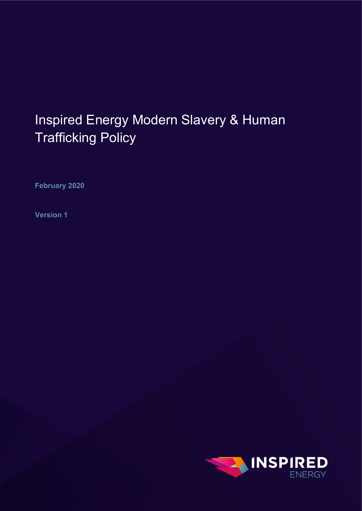# Inspired Energy Modern Slavery & Human Trafficking Policy

**February 2020**

**Version 1**

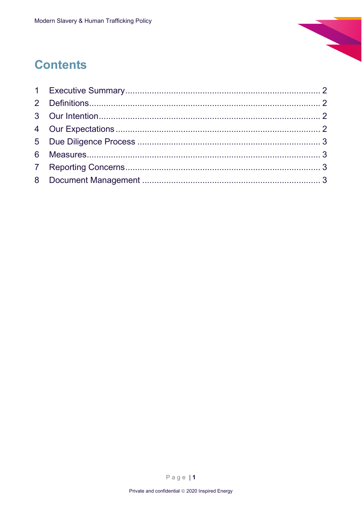

#### **Contents**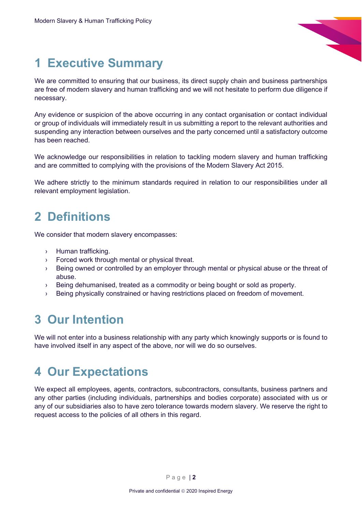

## <span id="page-2-0"></span>**1 Executive Summary**

We are committed to ensuring that our business, its direct supply chain and business partnerships are free of modern slavery and human trafficking and we will not hesitate to perform due diligence if necessary.

Any evidence or suspicion of the above occurring in any contact organisation or contact individual or group of individuals will immediately result in us submitting a report to the relevant authorities and suspending any interaction between ourselves and the party concerned until a satisfactory outcome has been reached.

We acknowledge our responsibilities in relation to tackling modern slavery and human trafficking and are committed to complying with the provisions of the Modern Slavery Act 2015.

We adhere strictly to the minimum standards required in relation to our responsibilities under all relevant employment legislation.

#### <span id="page-2-1"></span>**2 Definitions**

We consider that modern slavery encompasses:

- › Human trafficking.
- › Forced work through mental or physical threat.
- › Being owned or controlled by an employer through mental or physical abuse or the threat of abuse.
- › Being dehumanised, treated as a commodity or being bought or sold as property.
- › Being physically constrained or having restrictions placed on freedom of movement.

#### <span id="page-2-2"></span>**3 Our Intention**

We will not enter into a business relationship with any party which knowingly supports or is found to have involved itself in any aspect of the above, nor will we do so ourselves.

#### <span id="page-2-3"></span>**4 Our Expectations**

We expect all employees, agents, contractors, subcontractors, consultants, business partners and any other parties (including individuals, partnerships and bodies corporate) associated with us or any of our subsidiaries also to have zero tolerance towards modern slavery. We reserve the right to request access to the policies of all others in this regard.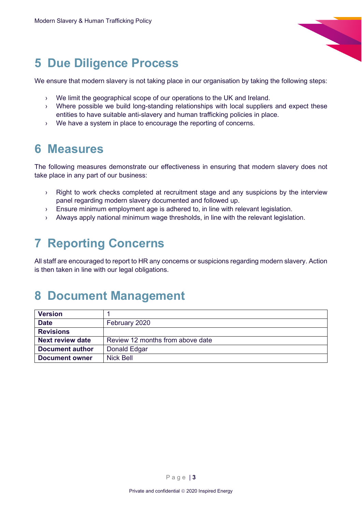

#### <span id="page-3-0"></span>**5 Due Diligence Process**

We ensure that modern slavery is not taking place in our organisation by taking the following steps:

- › We limit the geographical scope of our operations to the UK and Ireland.
- › Where possible we build long-standing relationships with local suppliers and expect these entities to have suitable anti-slavery and human trafficking policies in place.
- › We have a system in place to encourage the reporting of concerns.

#### <span id="page-3-1"></span>**6 Measures**

The following measures demonstrate our effectiveness in ensuring that modern slavery does not take place in any part of our business:

- › Right to work checks completed at recruitment stage and any suspicions by the interview panel regarding modern slavery documented and followed up.
- › Ensure minimum employment age is adhered to, in line with relevant legislation.
- › Always apply national minimum wage thresholds, in line with the relevant legislation.

## <span id="page-3-2"></span>**7 Reporting Concerns**

All staff are encouraged to report to HR any concerns or suspicions regarding modern slavery. Action is then taken in line with our legal obligations.

#### <span id="page-3-3"></span>**8 Document Management**

| <b>Version</b>         |                                  |
|------------------------|----------------------------------|
| <b>Date</b>            | February 2020                    |
| <b>Revisions</b>       |                                  |
| Next review date       | Review 12 months from above date |
| <b>Document author</b> | Donald Edgar                     |
| <b>Document owner</b>  | Nick Bell                        |